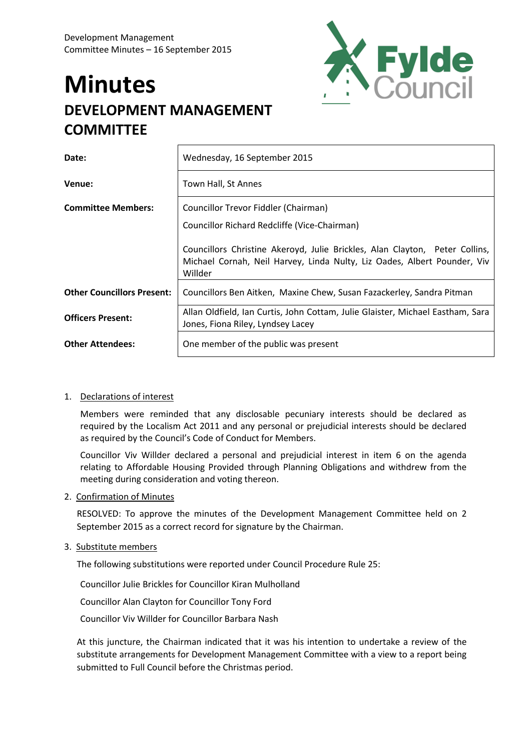# **Minutes DEVELOPMENT MANAGEMENT COMMITTEE**



| Date:                             | Wednesday, 16 September 2015                                                                                                                                       |
|-----------------------------------|--------------------------------------------------------------------------------------------------------------------------------------------------------------------|
| Venue:                            | Town Hall, St Annes                                                                                                                                                |
| <b>Committee Members:</b>         | Councillor Trevor Fiddler (Chairman)                                                                                                                               |
|                                   | Councillor Richard Redcliffe (Vice-Chairman)                                                                                                                       |
|                                   | Councillors Christine Akeroyd, Julie Brickles, Alan Clayton, Peter Collins,<br>Michael Cornah, Neil Harvey, Linda Nulty, Liz Oades, Albert Pounder, Viv<br>Willder |
| <b>Other Councillors Present:</b> | Councillors Ben Aitken, Maxine Chew, Susan Fazackerley, Sandra Pitman                                                                                              |
| <b>Officers Present:</b>          | Allan Oldfield, Ian Curtis, John Cottam, Julie Glaister, Michael Eastham, Sara<br>Jones, Fiona Riley, Lyndsey Lacey                                                |
| <b>Other Attendees:</b>           | One member of the public was present                                                                                                                               |

# 1. Declarations of interest

Members were reminded that any disclosable pecuniary interests should be declared as required by the Localism Act 2011 and any personal or prejudicial interests should be declared as required by the Council's Code of Conduct for Members.

Councillor Viv Willder declared a personal and prejudicial interest in item 6 on the agenda relating to Affordable Housing Provided through Planning Obligations and withdrew from the meeting during consideration and voting thereon.

#### 2. Confirmation of Minutes

RESOLVED: To approve the minutes of the Development Management Committee held on 2 September 2015 as a correct record for signature by the Chairman.

#### 3. Substitute members

The following substitutions were reported under Council Procedure Rule 25:

Councillor Julie Brickles for Councillor Kiran Mulholland

Councillor Alan Clayton for Councillor Tony Ford

Councillor Viv Willder for Councillor Barbara Nash

At this juncture, the Chairman indicated that it was his intention to undertake a review of the substitute arrangements for Development Management Committee with a view to a report being submitted to Full Council before the Christmas period.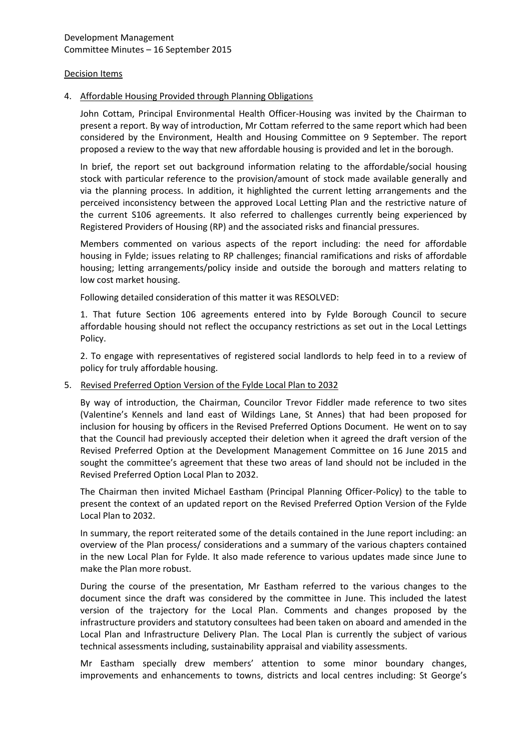#### Decision Items

#### 4. Affordable Housing Provided through Planning Obligations

John Cottam, Principal Environmental Health Officer-Housing was invited by the Chairman to present a report. By way of introduction, Mr Cottam referred to the same report which had been considered by the Environment, Health and Housing Committee on 9 September. The report proposed a review to the way that new affordable housing is provided and let in the borough.

In brief, the report set out background information relating to the affordable/social housing stock with particular reference to the provision/amount of stock made available generally and via the planning process. In addition, it highlighted the current letting arrangements and the perceived inconsistency between the approved Local Letting Plan and the restrictive nature of the current S106 agreements. It also referred to challenges currently being experienced by Registered Providers of Housing (RP) and the associated risks and financial pressures.

Members commented on various aspects of the report including: the need for affordable housing in Fylde; issues relating to RP challenges; financial ramifications and risks of affordable housing; letting arrangements/policy inside and outside the borough and matters relating to low cost market housing.

Following detailed consideration of this matter it was RESOLVED:

1. That future Section 106 agreements entered into by Fylde Borough Council to secure affordable housing should not reflect the occupancy restrictions as set out in the Local Lettings Policy.

2. To engage with representatives of registered social landlords to help feed in to a review of policy for truly affordable housing.

#### 5. Revised Preferred Option Version of the Fylde Local Plan to 2032

By way of introduction, the Chairman, Councilor Trevor Fiddler made reference to two sites (Valentine's Kennels and land east of Wildings Lane, St Annes) that had been proposed for inclusion for housing by officers in the Revised Preferred Options Document. He went on to say that the Council had previously accepted their deletion when it agreed the draft version of the Revised Preferred Option at the Development Management Committee on 16 June 2015 and sought the committee's agreement that these two areas of land should not be included in the Revised Preferred Option Local Plan to 2032.

The Chairman then invited Michael Eastham (Principal Planning Officer-Policy) to the table to present the context of an updated report on the Revised Preferred Option Version of the Fylde Local Plan to 2032.

In summary, the report reiterated some of the details contained in the June report including: an overview of the Plan process/ considerations and a summary of the various chapters contained in the new Local Plan for Fylde. It also made reference to various updates made since June to make the Plan more robust.

During the course of the presentation, Mr Eastham referred to the various changes to the document since the draft was considered by the committee in June. This included the latest version of the trajectory for the Local Plan. Comments and changes proposed by the infrastructure providers and statutory consultees had been taken on aboard and amended in the Local Plan and Infrastructure Delivery Plan. The Local Plan is currently the subject of various technical assessments including, sustainability appraisal and viability assessments.

Mr Eastham specially drew members' attention to some minor boundary changes, improvements and enhancements to towns, districts and local centres including: St George's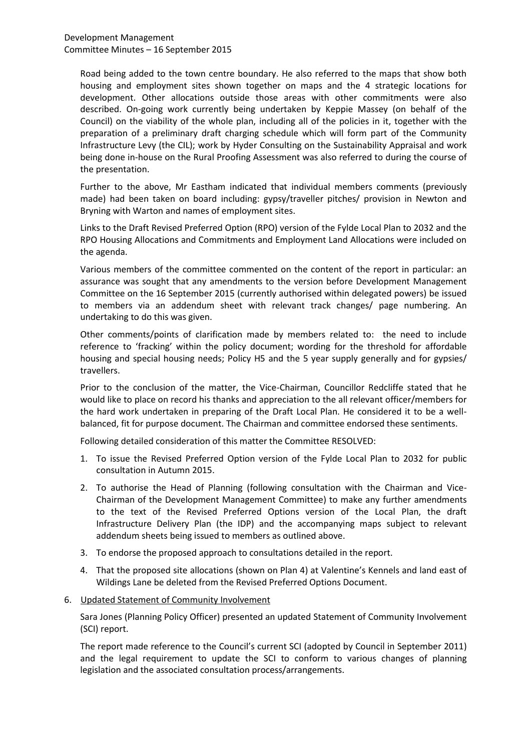Development Management Committee Minutes – 16 September 2015

Road being added to the town centre boundary. He also referred to the maps that show both housing and employment sites shown together on maps and the 4 strategic locations for development. Other allocations outside those areas with other commitments were also described. On-going work currently being undertaken by Keppie Massey (on behalf of the Council) on the viability of the whole plan, including all of the policies in it, together with the preparation of a preliminary draft charging schedule which will form part of the Community Infrastructure Levy (the CIL); work by Hyder Consulting on the Sustainability Appraisal and work being done in-house on the Rural Proofing Assessment was also referred to during the course of the presentation.

Further to the above, Mr Eastham indicated that individual members comments (previously made) had been taken on board including: gypsy/traveller pitches/ provision in Newton and Bryning with Warton and names of employment sites.

Links to the Draft Revised Preferred Option (RPO) version of the Fylde Local Plan to 2032 and the RPO Housing Allocations and Commitments and Employment Land Allocations were included on the agenda.

Various members of the committee commented on the content of the report in particular: an assurance was sought that any amendments to the version before Development Management Committee on the 16 September 2015 (currently authorised within delegated powers) be issued to members via an addendum sheet with relevant track changes/ page numbering. An undertaking to do this was given.

Other comments/points of clarification made by members related to: the need to include reference to 'fracking' within the policy document; wording for the threshold for affordable housing and special housing needs; Policy H5 and the 5 year supply generally and for gypsies/ travellers.

Prior to the conclusion of the matter, the Vice-Chairman, Councillor Redcliffe stated that he would like to place on record his thanks and appreciation to the all relevant officer/members for the hard work undertaken in preparing of the Draft Local Plan. He considered it to be a wellbalanced, fit for purpose document. The Chairman and committee endorsed these sentiments.

Following detailed consideration of this matter the Committee RESOLVED:

- 1. To issue the Revised Preferred Option version of the Fylde Local Plan to 2032 for public consultation in Autumn 2015.
- 2. To authorise the Head of Planning (following consultation with the Chairman and Vice-Chairman of the Development Management Committee) to make any further amendments to the text of the Revised Preferred Options version of the Local Plan, the draft Infrastructure Delivery Plan (the IDP) and the accompanying maps subject to relevant addendum sheets being issued to members as outlined above.
- 3. To endorse the proposed approach to consultations detailed in the report.
- 4. That the proposed site allocations (shown on Plan 4) at Valentine's Kennels and land east of Wildings Lane be deleted from the Revised Preferred Options Document.
- 6. Updated Statement of Community Involvement

Sara Jones (Planning Policy Officer) presented an updated Statement of Community Involvement (SCI) report.

The report made reference to the Council's current SCI (adopted by Council in September 2011) and the legal requirement to update the SCI to conform to various changes of planning legislation and the associated consultation process/arrangements.